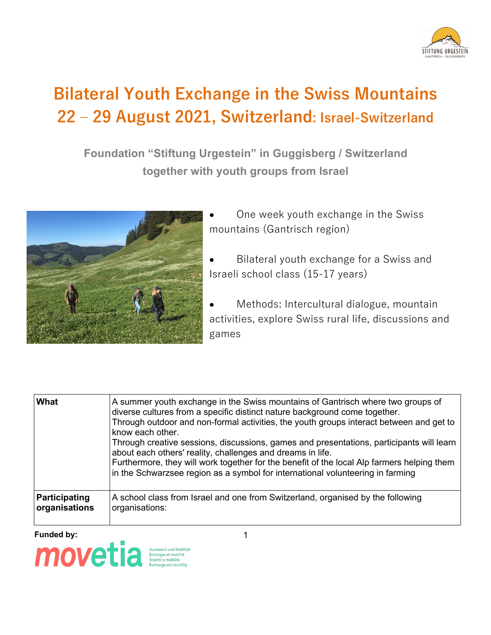

## **Bilateral Youth Exchange in the Swiss Mountains 22 ‒ 29 August 2021, Switzerland: Israel-Switzerland**

**Foundation "Stiftung Urgestein" in Guggisberg / Switzerland together with youth groups from Israel**



- One week youth exchange in the Swiss mountains (Gantrisch region)
- Bilateral youth exchange for a Swiss and Israeli school class (15-17 years)
- Methods: Intercultural dialogue, mountain activities, explore Swiss rural life, discussions and games

| What                           | A summer youth exchange in the Swiss mountains of Gantrisch where two groups of<br>diverse cultures from a specific distinct nature background come together.<br>Through outdoor and non-formal activities, the youth groups interact between and get to<br>know each other.<br>Through creative sessions, discussions, games and presentations, participants will learn<br>about each others' reality, challenges and dreams in life. |
|--------------------------------|----------------------------------------------------------------------------------------------------------------------------------------------------------------------------------------------------------------------------------------------------------------------------------------------------------------------------------------------------------------------------------------------------------------------------------------|
|                                | Furthermore, they will work together for the benefit of the local Alp farmers helping them<br>in the Schwarzsee region as a symbol for international volunteering in farming                                                                                                                                                                                                                                                           |
| Participating<br>organisations | A school class from Israel and one from Switzerland, organised by the following<br>organisations:                                                                                                                                                                                                                                                                                                                                      |

**Funded by:** 1

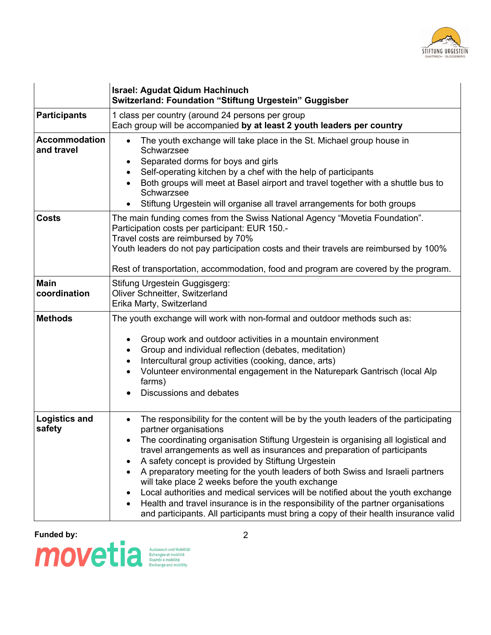

|                                    | <b>Israel: Agudat Qidum Hachinuch</b><br>Switzerland: Foundation "Stiftung Urgestein" Guggisber                                                                                                                                                                                                                                                                                                                                                                                                                                                                                                                                                                                                                                                            |
|------------------------------------|------------------------------------------------------------------------------------------------------------------------------------------------------------------------------------------------------------------------------------------------------------------------------------------------------------------------------------------------------------------------------------------------------------------------------------------------------------------------------------------------------------------------------------------------------------------------------------------------------------------------------------------------------------------------------------------------------------------------------------------------------------|
| <b>Participants</b>                | 1 class per country (around 24 persons per group<br>Each group will be accompanied by at least 2 youth leaders per country                                                                                                                                                                                                                                                                                                                                                                                                                                                                                                                                                                                                                                 |
| <b>Accommodation</b><br>and travel | The youth exchange will take place in the St. Michael group house in<br>$\bullet$<br>Schwarzsee<br>Separated dorms for boys and girls<br>$\bullet$<br>Self-operating kitchen by a chef with the help of participants<br>Both groups will meet at Basel airport and travel together with a shuttle bus to<br>Schwarzsee<br>Stiftung Urgestein will organise all travel arrangements for both groups                                                                                                                                                                                                                                                                                                                                                         |
| <b>Costs</b>                       | The main funding comes from the Swiss National Agency "Movetia Foundation".<br>Participation costs per participant: EUR 150.-<br>Travel costs are reimbursed by 70%<br>Youth leaders do not pay participation costs and their travels are reimbursed by 100%<br>Rest of transportation, accommodation, food and program are covered by the program.                                                                                                                                                                                                                                                                                                                                                                                                        |
| <b>Main</b><br>coordination        | Stifung Urgestein Guggisgerg:<br>Oliver Schneitter, Switzerland<br>Erika Marty, Switzerland                                                                                                                                                                                                                                                                                                                                                                                                                                                                                                                                                                                                                                                                |
| <b>Methods</b>                     | The youth exchange will work with non-formal and outdoor methods such as:<br>Group work and outdoor activities in a mountain environment<br>Group and individual reflection (debates, meditation)<br>$\bullet$<br>Intercultural group activities (cooking, dance, arts)<br>$\bullet$<br>Volunteer environmental engagement in the Naturepark Gantrisch (local Alp<br>$\bullet$<br>farms)<br>Discussions and debates<br>$\bullet$                                                                                                                                                                                                                                                                                                                           |
| <b>Logistics and</b><br>safety     | The responsibility for the content will be by the youth leaders of the participating<br>$\bullet$<br>partner organisations<br>The coordinating organisation Stiftung Urgestein is organising all logistical and<br>travel arrangements as well as insurances and preparation of participants<br>A safety concept is provided by Stiftung Urgestein<br>A preparatory meeting for the youth leaders of both Swiss and Israeli partners<br>will take place 2 weeks before the youth exchange<br>Local authorities and medical services will be notified about the youth exchange<br>Health and travel insurance is in the responsibility of the partner organisations<br>and participants. All participants must bring a copy of their health insurance valid |